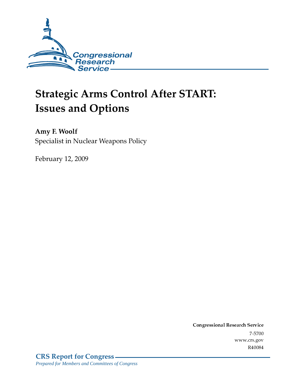

# **Strategic Arms Control After START: Issues and Options**

Amy F. Woolf Specialist in Nuclear Weapons Policy

February 12, 2009

Conglessional Research Service  $7 - 2700$ www.crs.gov R40084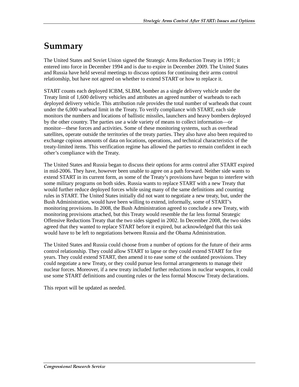## Summary

The United States and Soviet Union signed the Strategic Arms Reduction Treaty in 1991; it entered into force in December 1994 and is due to expire in December 2009. The United States and Russia have held several meetings to discuss options for continuing their arms control relationship, but have not agreed on whether to extend START or how to replace it.

START counts each deployed ICBM, SLBM, bomber as a single delivery vehicle under the Treaty limit of 1,600 delivery vehicles and attributes an agreed number of warheads to each deployed delivery vehicle. This attribution rule provides the total number of warheads that count under the 6,000 warhead limit in the Treaty. To verify compliance with START, each side monitors the numbers and locations of ballistic missiles, launchers and heavy bombers deployed by the other country. The parties use a wide variety of means to collect information—or monitor—these forces and activities. Some of these monitoring systems, such as overhead satellites, operate outside the territories of the treaty parties. They also have also been required to exchange copious amounts of data on locations, operations, and technical characteristics of the treaty-limited items. This verification regime has allowed the parties to remain confident in each other's compliance with the Treaty.

The United States and Russia began to discuss their options for arms control after START expired in mid-2006. They have, however been unable to agree on a path forward. Neither side wants to extend START in its current form, as some of the Treaty's provisions have begun to interfere with some military programs on both sides. Russia wants to replace START with a new Treaty that would further reduce deployed forces while using many of the same definitions and counting rules in START. The United States initially did not want to negotiate a new treaty, but, under the Bush Administration, would have been willing to extend, informally, some of START's monitoring provisions. In 2008, the Bush Administration agreed to conclude a new Treaty, with monitoring provisions attached, but this Treaty would resemble the far less formal Strategic Offensive Reductions Treaty that the two sides signed in 2002. In December 2008, the two sides agreed that they wanted to replace START before it expired, but acknowledged that this task would have to be left to negotiations between Russia and the Obama Administration.

The United States and Russia could choose from a number of options for the future of their arms control relationship. They could allow START to lapse or they could extend START for five years. They could extend START, then amend it to ease some of the outdated provisions. They could negotiate a new Treaty, or they could pursue less formal arrangements to manage their nuclear forces. Moreover, if a new treaty included further reductions in nuclear weapons, it could use some START definitions and counting rules or the less formal Moscow Treaty declarations.

This report will be updated as needed.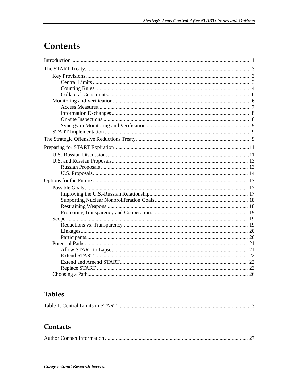## **Contents**

## **Tables**

|--|--|

## Contacts

|--|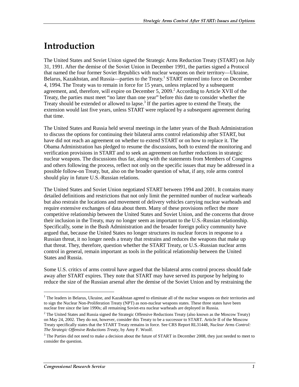## <u>Introduction</u>

The United States and Soviet Union signed the Strategic Arms Reduction Treaty (START) on July 31, 1991. After the demise of the Soviet Union in December 1991, the parties signed a Protocol that named the four former Soviet Republics with nuclear weapons on their territory—Ukraine, Belarus, Kazakhstan, and Russia—parties to the Treaty.<sup>1</sup> START entered into force on December 4, 1994. The Treaty was to remain in force for 15 years, unless replaced by a subsequent agreement, and, therefore, will expire on December 5, 2009.<sup>2</sup> According to Article XVII of the Treaty, the parties must meet "no later than one year" before this date to consider whether the Treaty should be extended or allowed to lapse.<sup>3</sup> If the parties agree to extend the Treaty, the extension would last five years, unless START were replaced by a subsequent agreement during that time.

The United States and Russia held several meetings in the latter years of the Bush Administration to discuss the options for continuing their bilateral arms control relationship after START, but have did not reach an agreement on whether to extend START or on how to replace it. The Obama Administration has pledged to resume the discussions, both to extend the monitoring and verification provisions in START and to seek an agreement on further reductions in strategic nuclear weapons. The discussions thus far, along with the statements from Members of Congress and others following the process, reflect not only on the specific issues that may be addressed in a possible follow-on Treaty, but, also on the broader question of what, if any, role arms control should play in future U.S.-Russian relations.

The United States and Soviet Union negotiated START between 1994 and 2001. It contains many detailed definitions and restrictions that not only limit the permitted number of nuclear warheads but also restrain the locations and movement of delivery vehicles carrying nuclear warheads and require extensive exchanges of data about them. Many of these provisions reflect the more competitive relationship between the United States and Soviet Union, and the concerns that drove their inclusion in the Treaty, may no longer seem as important to the U.S.-Russian relationship. Specifically, some in the Bush Administration and the broader foreign policy community have argued that, because the United States no longer structures its nuclear forces in response to a Russian threat, it no longer needs a treaty that restrains and reduces the weapons that make up that threat. They, therefore, question whether the START Treaty, or U.S.-Russian nuclear arms control in general, remain important as tools in the political relationship between the United States and Russia.

Some U.S. critics of arms control have argued that the bilateral arms control process should fade away after START expires. They note that START may have served its purpose by helping to reduce the size of the Russian arsenal after the demise of the Soviet Union and by restraining the

<sup>&</sup>lt;sup>1</sup> The leaders in Belarus, Ukraine, and Kazakhstan agreed to eliminate all of the nuclear weapons on their territories and to sign the Nuclear Non-Proliferation Treaty (NPT) as non-nuclear weapons states. These three states have been nuclear free since the late 1990s; all remaining Soviet-era nuclear warheads are deployed in Russia.

 $2$  The United States and Russia signed the Strategic Offensive Reductions Treaty (also known as the Moscow Treaty) on May 24, 2002. They do not, however, consider this Treaty to be a successor to START. Article II of the Moscow Treaty specifically states that the START Treaty remains in force. See CRS Report RL31448, *Nuclear Arms Control: The Strategic Offensive Reductions Treaty*, by Amy F. Woolf.

 $3$  The Parties did not need to make a decision about the future of START in December 2008, they just needed to meet to consider the question.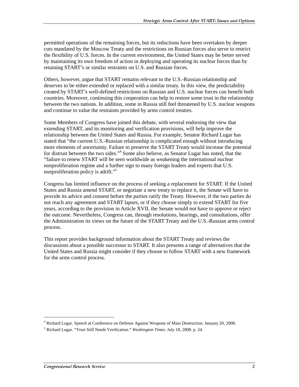permitted operations of the remaining forces, but its reductions have been overtaken by deeper cuts mandated by the Moscow Treaty and the restrictions on Russian forces also serve to restrict the flexibility of U.S. forces. In the current environment, the United States may be better served by maintaining its own freedom of action in deploying and operating its nuclear forces than by retaining START's or similar restraints on U.S. and Russian forces.

Others, however, argue that START remains relevant to the U.S.-Russian relationship and deserves to be either extended or replaced with a similar treaty. In this view, the predictability created by START's well-defined restrictions on Russian and U.S. nuclear forces can benefit both countries. Moreover, continuing this cooperation can help to restore some trust in the relationship between the two nations. In addition, some in Russia still feel threatened by U.S. nuclear weapons and continue to value the restraints provided by arms control treaties.

Some Members of Congress have joined this debate, with several endorsing the view that extending START, and its monitoring and verification provisions, will help improve the relationship between the United States and Russia. For example, Senator Richard Lugar has stated that "the current U.S.-Russian relationship is complicated enough without introducing more elements of uncertainty. Failure to preserve the START Treaty would increase the potential for distrust between the two sides."<sup>4</sup> Some also believe, as Senator Lugar has noted, that the "failure to renew START will be seen worldwide as weakening the international nuclear nonproliferation regime and a further sign to many foreign leaders and experts that U.S. nonproliferation policy is adrift."<sup>5</sup>

Congress has limited influence on the process of seeking a replacement for START. If the United States and Russia amend START, or negotiate a new treaty to replace it, the Senate will have to provide its advice and consent before the parties ratify the Treaty. However, if the two parties do not reach any agreement and START lapses, or if they choose simply to extend START for five years, according to the provision in Article XVII, the Senate would not have to approve or reject the outcome. Nevertheless, Congress can, through resolutions, hearings, and consultations, offer the Administration its views on the future of the START Treaty and the U.S.-Russian arms control process.

This report provides background information about the START Treaty and reviews the discussions about a possible successor to START. It also presents a range of alternatives that the United States and Russia might consider if they choose to follow START with a new framework for the arms control process.

<sup>4</sup> Richard Lugar. Speech at Conference on Defense Against Weapons of Mass Destruction. January 20, 2008.

<sup>5</sup> Richard Lugar. "Trust Still Needs Verification." *Washington Times*. July 18, 2008. p. 24.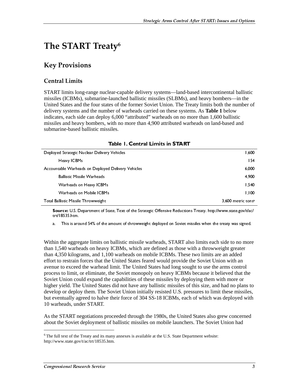## The START Treaty $\rm ^6$

## **Key Provisions**

### Central Limits

START limits long-range nuclear-capable delivery systems—land-based intercontinental ballistic missiles (ICBMs), submarine-launched ballistic missiles (SLBMs), and heavy bombers—in the United States and the four states of the former Soviet Union. The Treaty limits both the number of delivery systems and the number of warheads carried on these systems. As **Table 1** below indicates, each side can deploy 6,000 "attributed" warheads on no more than 1,600 ballistic missiles and heavy bombers, with no more than 4,900 attributed warheads on land-based and submarine-based ballistic missiles.

| Table 1. Sentral Lillius III 3 IAN I               |                    |  |
|----------------------------------------------------|--------------------|--|
| Deployed Strategic Nuclear Delivery Vehicles       | 1,600              |  |
| Heavy ICBMs                                        | 154                |  |
| Accountable Warheads on Deployed Delivery Vehicles | 6,000              |  |
| <b>Ballistic Missile Warheads</b>                  | 4.900              |  |
| Warheads on Heavy ICBMs                            | 1.540              |  |
| Warheads on Mobile ICBMs                           | 1.100              |  |
| Total Ballistic Missile Throwweight                | 3,600 metric tonsa |  |

#### Table | Central Limits in START

The Vehicles<br>
Solvery Vehicles<br>
Solvery Vehicles<br>
Solvery Vehicles<br>
Solvery Vehicles<br>
Solvery Central Contensive Reductions<br>
amount of throwweight deployed on Soviet mit<br>
ballistic missile warheads, START als<br>
ICBMs, which troll8535 htm.<br>
a. This is around 54% of the amount of throwweight deployed on Soviet missiles when the treaty was signed.<br>
ain the aggregate limits on ballistic missile warheads, START also limits each side to no more<br>
1. a. This is aro<br>
in the aggre<br>
1,540 warher<br>
1,540 warher<br>
1,540 kilogir<br>
1,550 kilogir<br>
1,610 to exceed<br>
1,101 to exceed<br>
1,101 to the<br>
1,101 text of the<br>
1,101 text of the<br>
1,101 text of the<br>
1,101 text of the<br>
1,101 text in the aggregate limits on ballistic missile warheads, START also limits each side to no more 1,540 warheads on heavy ICBMs, which are defined as those with a throwweight greater 4,350 kilograms, and 1,100 warheads on mobi コーニ ロンロ いきの コーニング ニター Within the aggregate limits on ballistic missile warheads, START also limits each side to no more than 1,540 warheads on heavy ICBMs, which are defined as those with a throwweight greater than 4,350 kilograms, and 1,100 warheads on mobile ICBMs. These two limits are an added effort to restrain forces that the United States feared would provide the Soviet Union with an avenue to exceed the warhead limit. The United States had long sought to use the arms control process to limit, or eliminate, the Soviet monopoly on heavy ICBMs because it believed that the Soviet Union could expand the capabilities of these missiles by deploying them with more or higher yield. The United States did not have any ballistic missiles of this size, and had no plans to develop or deploy them. The Soviet Union initially resisted U.S. pressures to limit these missiles, but eventually agreed to halve their force of 304 SS-18 ICBMs, each of which was deployed with 10 warheads, under START.

As the START negotiations proceeded through the 1980s, the United States also grew concerned about the Soviet deployment of ballistic missiles on mobile launchers. The Soviet Union had

 $6$ The full text of the Treaty and its many annexes is available at the U.S. State Department website: http://www.state.gov/t/ac/trt/18535.htm.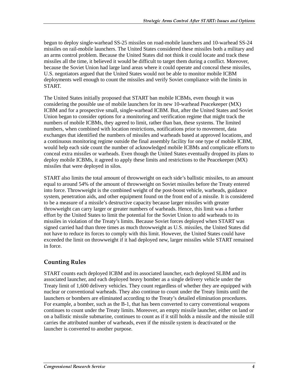begun to deploy single-warhead SS-25 missiles on road-mobile launchers and 10-warhead SS-24 missiles on rail-mobile launchers. The United States considered these missiles both a military and an arms control problem. Because the United States did not think it could locate and track these missiles all the time, it believed it would be difficult to target them during a conflict. Moreover, because the Soviet Union had large land areas where it could operate and conceal these missiles, U.S. negotiators argued that the United States would not be able to monitor mobile ICBM deployments well enough to count the missiles and verify Soviet compliance with the limits in START.

The United States initially proposed that START ban mobile ICBMs, even though it was considering the possible use of mobile launchers for its new 10-warhead Peacekeeper (MX) ICBM and for a prospective small, single-warhead ICBM. But, after the United States and Soviet Union began to consider options for a monitoring and verification regime that might track the numbers of mobile ICBMs, they agreed to limit, rather than ban, these systems. The limited numbers, when combined with location restrictions, notifications prior to movement, data exchanges that identified the numbers of missiles and warheads based at approved locations, and a continuous monitoring regime outside the final assembly facility for one type of mobile ICBM, would help each side count the number of acknowledged mobile ICBMs and complicate efforts to conceal extra missiles or warheads. Even though the United States eventually dropped its plans to deploy mobile ICBMs, it agreed to apply these limits and restrictions to the Peacekeeper (MX) missiles that were deployed in silos.

START also limits the total amount of throwweight on each side's ballistic missiles, to an amount equal to around 54% of the amount of throwweight on Soviet missiles before the Treaty entered into force. Throwweight is the combined weight of the post-boost vehicle, warheads, guidance system, penetration aids, and other equipment found on the front end of a missile. It is considered to be a measure of a missile's destructive capacity because larger missiles with greater throwweight can carry larger or greater numbers of warheads. Hence, this limit was a further effort by the United States to limit the potential for the Soviet Union to add warheads to its missiles in violation of the Treaty's limits. Because Soviet forces deployed when START was signed carried had than three times as much throwweight as U.S. missiles, the United States did not have to reduce its forces to comply with this limit. However, the United States could have exceeded the limit on throwweight if it had deployed new, larger missiles while START remained in force.

### **Counting Rules**

START counts each deployed ICBM and its associated launcher, each deployed SLBM and its associated launcher, and each deployed heavy bomber as a single delivery vehicle under the Treaty limit of 1,600 delivery vehicles. They count regardless of whether they are equipped with nuclear or conventional warheads. They also continue to count under the Treaty limits until the launchers or bombers are eliminated according to the Treaty's detailed elimination procedures. For example, a bomber, such as the B-1, that has been converted to carry conventional weapons continues to count under the Treaty limits. Moreover, an empty missile launcher, either on land or on a ballistic missile submarine, continues to count as if it still holds a missile and the missile still carries the attributed number of warheads, even if the missile system is deactivated or the launcher is converted to another purpose.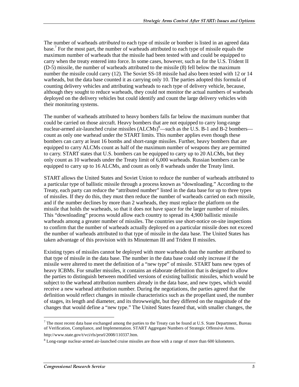The number of warheads *attributed* to each type of missile or bomber is listed in an agreed data base.<sup>7</sup> For the most part, the number of warheads attributed to each type of missile equals the maximum number of warheads that the missile had been tested with and could be equipped to carry when the treaty entered into force. In some cases, however, such as for the U.S. Trident II (D-5) missile, the number of warheads attributed to the missile (8) fell below the maximum number the missile could carry (12). The Soviet SS-18 missile had also been tested with 12 or 14 warheads, but the data base counted it as carrying only 10. The parties adopted this formula of counting delivery vehicles and attributing warheads to each type of delivery vehicle, because, although they sought to reduce warheads, they could not monitor the actual numbers of warheads deployed on the delivery vehicles but could identify and count the large delivery vehicles with their monitoring systems.

The number of warheads attributed to heavy bombers falls far below the maximum number that could be carried on those aircraft. Heavy bombers that are not equipped to carry long-range nuclear-armed air-launched cruise missiles  $(ALCMs)^8$ —such as the U.S. B-1 and B-2 bombers count as only one warhead under the START limits. This number applies even though these bombers can carry at least 16 bombs and short-range missiles. Further, heavy bombers that are equipped to carry ALCMs count as half of the maximum number of weapons they are permitted to carry. START states that U.S. bombers can be equipped to carry up to 20 ALCMs, but they only count as 10 warheads under the Treaty limit of 6,000 warheads. Russian bombers can be equipped to carry up to 16 ALCMs, and count as only 8 warheads under the Treaty limit.

START allows the United States and Soviet Union to reduce the number of warheads attributed to a particular type of ballistic missile through a process known as "downloading." According to the Treaty, each party can reduce the "attributed number" listed in the data base for up to three types of missiles. If they do this, they must then reduce the number of warheads carried on each missile, and if the number declines by more than 2 warheads, they must replace the platform on the missile that holds the warheads, so that it does not have space for the larger number of missiles. This "downloading" process would allow each country to spread its 4,900 ballistic missile warheads among a greater number of missiles. The countries use short-notice on-site inspections to confirm that the number of warheads actually deployed on a particular missile does not exceed the number of warheads attributed to that type of missile in the data base. The United States has taken advantage of this provision with its Minuteman III and Trident II missiles.

Existing types of missiles cannot be deployed with more warheads than the number attributed to that type of missile in the data base. The number in the data base could only increase if the missile were altered to meet the definition of a "new type" of missile. START bans new types of heavy ICBMs. For smaller missiles, it contains an elaborate definition that is designed to allow the parties to distinguish between modified versions of existing ballistic missiles, which would be subject to the warhead attribution numbers already in the data base, and new types, which would receive a new warhead attribution number. During the negotiations, the parties agreed that the definition would reflect changes in missile characteristics such as the propellant used, the number of stages, its length and diameter, and its throwweight, but they differed on the magnitude of the changes that would define a "new type." The United States feared that, with smaller changes, the

 $^7$  The most recent data base exchanged among the parties to the Treaty can be found at U.S. State Department, Bureau of Verification, Compliance, and Implementation. START Aggregate Numbers of Strategic Offensive Arms. http://www.state.gov/t/vci/rls/prsrl/2008/110337.htm.

 $8$  Long-range nuclear-armed air-launched cruise missiles are those with a range of more than 600 kilometers.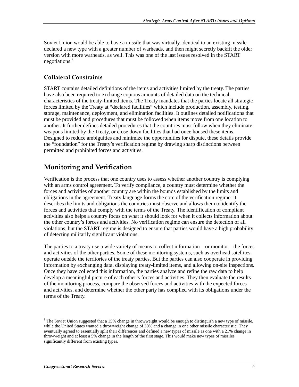Soviet Union would be able to have a missile that was virtually identical to an existing missile declared a new type with a greater number of warheads, and then might secretly backfit the older version with more warheads, as well. This was one of the last issues resolved in the START negotiations.<sup>9</sup>

### **Collateral Constraints**

START contains detailed definitions of the items and activities limited by the treaty. The parties have also been required to exchange copious amounts of detailed data on the technical characteristics of the treaty-limited items. The Treaty mandates that the parties locate all strategic forces limited by the Treaty at "declared facilities" which include production, assembly, testing, storage, maintenance, deployment, and elimination facilities. It outlines detailed notifications that must be provided and procedures that must be followed when items move from one location to another. It further defines detailed procedures that the countries must follow when they eliminate weapons limited by the Treaty, or close down facilities that had once housed these items. Designed to reduce ambiguities and minimize the opportunities for dispute, these details provide the "foundation" for the Treaty's verification regime by drawing sharp distinctions between permitted and prohibited forces and activities.

### **Monitoring and Verification**

Verification is the process that one country uses to assess whether another country is complying with an arms control agreement. To verify compliance, a country must determine whether the forces and activities of another country are within the bounds established by the limits and obligations in the agreement. Treaty language forms the core of the verification regime: it describes the limits and obligations the countries must observe and allows them to identify the forces and activities that comply with the terms of the Treaty. The identification of compliant activities also helps a country focus on what it should look for when it collects information about the other country's forces and activities. No verification regime can ensure the detection of all violations, but the START regime is designed to ensure that parties would have a high probability of detecting militarily significant violations.

The parties to a treaty use a wide variety of means to collect information—or monitor—the forces and activities of the other parties. Some of these monitoring systems, such as overhead satellites, operate outside the territories of the treaty parties. But the parties can also cooperate in providing information by exchanging data, displaying treaty-limited items, and allowing on-site inspections. Once they have collected this information, the parties analyze and refine the raw data to help develop a meaningful picture of each other's forces and activities. They then evaluate the results of the monitoring process, compare the observed forces and activities with the expected forces and activities, and determine whether the other party has complied with its obligations under the terms of the Treaty.

 $9$  The Soviet Union suggested that a 15% change in throwweight would be enough to distinguish a new type of missile, while the United States wanted a throwweight change of 30% and a change in one other missile characteristic. They eventually agreed to essentially split their differences and defined a new types of missile as one with a 21% change in throwweight and at least a 5% change in the length of the first stage. This would make new types of missiles significantly different from existing types.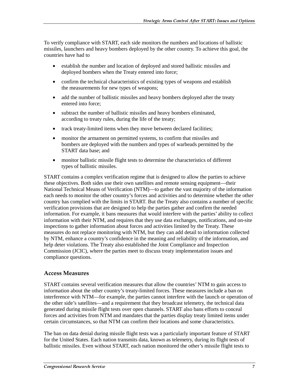To verify compliance with START, each side monitors the numbers and locations of ballistic missiles, launchers and heavy bombers deployed by the other country. To achieve this goal, the countries have had to

- establish the number and location of deployed and stored ballistic missiles and deployed bombers when the Treaty entered into force;
- confirm the technical characteristics of existing types of weapons and establish the measurements for new types of weapons;
- add the number of ballistic missiles and heavy bombers deployed after the treaty entered into force;
- subtract the number of ballistic missiles and heavy bombers eliminated, according to treaty rules, during the life of the treaty;
- track treaty-limited items when they move between declared facilities;
- monitor the armament on permitted systems, to confirm that missiles and bombers are deployed with the numbers and types of warheads permitted by the START data base; and
- monitor ballistic missile flight tests to determine the characteristics of different types of ballistic missiles.

START contains a complex verification regime that is designed to allow the parties to achieve these objectives. Both sides use their own satellites and remote sensing equipment—their National Technical Means of Verification (NTM)—to gather the vast majority of the information each needs to monitor the other country's forces and activities and to determine whether the other country has complied with the limits in START. But the Treaty also contains a number of specific verification provisions that are designed to help the parties gather and confirm the needed information. For example, it bans measures that would interfere with the parties' ability to collect information with their NTM, and requires that they use data exchanges, notifications, and on-site inspections to gather information about forces and activities limited by the Treaty. These measures do not replace monitoring with NTM, but they can add detail to information collected by NTM, enhance a country's confidence in the meaning and reliability of the information, and help deter violations. The Treaty also established the Joint Compliance and Inspection Commission (JCIC), where the parties meet to discuss treaty implementation issues and compliance questions.

### **Access Measures**

START contains several verification measures that allow the countries' NTM to gain access to information about the other country's treaty-limited forces. These measures include a ban on interference with NTM—for example, the parties cannot interfere with the launch or operation of the other side's satellites—and a requirement that they broadcast telemetry, the technical data generated during missile flight tests over open channels. START also bans efforts to conceal forces and activities from NTM and mandates that the parties display treaty limited items under certain circumstances, so that NTM can confirm their locations and some characteristics.

The ban on data denial during missile flight tests was a particularly important feature of START for the United States. Each nation transmits data, known as telemetry, during its flight tests of ballistic missiles. Even without START, each nation monitored the other's missile flight tests to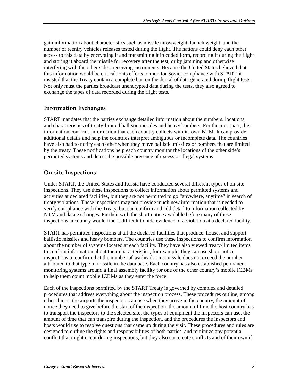gain information about characteristics such as missile throwweight, launch weight, and the number of reentry vehicles releases tested during the flight. The nations could deny each other access to this data by encrypting it and transmitting it in coded form, recording it during the flight and storing it aboard the missile for recovery after the test, or by jamming and otherwise interfering with the other side's receiving instruments. Because the United States believed that this information would be critical to its efforts to monitor Soviet compliance with START, it insisted that the Treaty contain a complete ban on the denial of data generated during flight tests. Not only must the parties broadcast unencrypted data during the tests, they also agreed to exchange the tapes of data recorded during the flight tests.

### **Information Exchanges**

START mandates that the parties exchange detailed information about the numbers, locations, and characteristics of treaty-limited ballistic missiles and heavy bombers. For the most part, this information confirms information that each country collects with its own NTM. It can provide additional details and help the countries interpret ambiguous or incomplete data. The countries have also had to notify each other when they move ballistic missiles or bombers that are limited by the treaty. These notifications help each country monitor the locations of the other side's permitted systems and detect the possible presence of excess or illegal systems.

### **On-site Inspections**

Under START, the United States and Russia have conducted several different types of on-site inspections. They use these inspections to collect information about permitted systems and activities at declared facilities, but they are not permitted to go "anywhere, anytime" in search of treaty violations. These inspections may not provide much new information that is needed to verify compliance with the Treaty, but can confirm and add detail to information collected by NTM and data exchanges. Further, with the short notice available before many of these inspections, a country would find it difficult to hide evidence of a violation at a declared facility.

START has permitted inspections at all the declared facilities that produce, house, and support ballistic missiles and heavy bombers. The countries use these inspections to confirm information about the number of systems located at each facility. They have also viewed treaty-limited items to confirm information about their characteristics; for example, they can use short-notice inspections to confirm that the number of warheads on a missile does not exceed the number attributed to that type of missile in the data base. Each country has also established permanent monitoring systems around a final assembly facility for one of the other country's mobile ICBMs to help them count mobile ICBMs as they enter the force.

Each of the inspections permitted by the START Treaty is governed by complex and detailed procedures that address everything about the inspection process. These procedures outline, among other things, the airports the inspectors can use when they arrive in the country, the amount of notice they need to give before the start of the inspection, the amount of time the host country has to transport the inspectors to the selected site, the types of equipment the inspectors can use, the amount of time that can transpire during the inspection, and the procedures the inspectors and hosts would use to resolve questions that came up during the visit. These procedures and rules are designed to outline the rights and responsibilities of both parties, and minimize any potential conflict that might occur during inspections, but they also can create conflicts and of their own if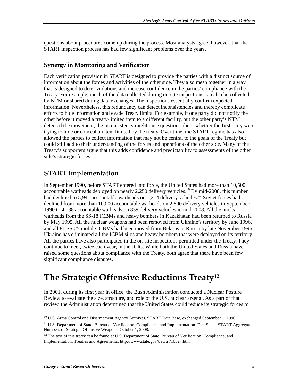questions about procedures come up during the process. Most analysts agree, however, that the START inspection process has had few significant problems over the years.

#### **Synergy in Monitoring and Verification**

Each verification provision in START is designed to provide the parties with a distinct source of information about the forces and activities of the other side. They also mesh together in a way that is designed to deter violations and increase confidence in the parties' compliance with the Treaty. For example, much of the data collected during on-site inspections can also be collected by NTM or shared during data exchanges. The inspections essentially confirm expected information. Nevertheless, this redundancy can detect inconsistencies and thereby complicate efforts to hide information and evade Treaty limits. For example, if one party did not notify the other before it moved a treaty-limited item to a different facility, but the other party's NTM detected the movement, the inconsistency might raise questions about whether the first party were trying to hide or conceal an item limited by the treaty. Over time, the START regime has also allowed the parties to collect information that may not be central to the goals of the Treaty but could still add to their understanding of the forces and operations of the other side. Many of the Treaty's supporters argue that this adds confidence and predictability to assessments of the other side's strategic forces.

### **START Implementation**

In September 1990, before START entered into force, the United States had more than 10,500 accountable warheads deployed on nearly 2,250 delivery vehicles.<sup>10</sup> By mid-2008, this number had declined to 5,941 accountable warheads on 1,214 delivery vehicles.<sup>11</sup> Soviet forces had declined from more than 10,000 accountable warheads on 2,500 delivery vehicles in September 1990 to 4,138 accountable warheads on 839 delivery vehicles in mid-2008. All the nuclear warheads from the SS-18 ICBMs and heavy bombers in Kazakhstan had been returned to Russia by May 1995. All the nuclear weapons had been removed from Ukraine's territory by June 1996, and all 81 SS-25 mobile ICBMs had been moved from Belarus to Russia by late November 1996. Ukraine has eliminated all the ICBM silos and heavy bombers that were deployed on its territory. All the parties have also participated in the on-site inspections permitted under the Treaty. They continue to meet, twice each year, in the JCIC. While both the United States and Russia have raised some questions about compliance with the Treaty, both agree that there have been few significant compliance disputes.

## The Strategic Offensive Reductions Treaty $^{\rm 12}$

In 2001, during its first year in office, the Bush Administration conducted a Nuclear Posture Review to evaluate the size, structure, and role of the U.S. nuclear arsenal. As a part of that review, the Administration determined that the United States could reduce its strategic forces to

<sup>&</sup>lt;sup>10</sup> U.S. Arms Control and Disarmament Agency Archives. START Data Base, exchanged September 1, 1990.

<sup>&</sup>lt;sup>11</sup> U.S. Department of State. Bureau of Verification, Compliance, and Implementation. Fact Sheet. START Aggregate Numbers of Strategic Offensive Weapons. October 1, 2008.

 $12$  The text of this treaty can be found at U.S. Department of State. Bureau of Verification, Compliance, and Implementation. Treaties and Agreements. http://www.state.gov/t/ac/trt/10527.htm.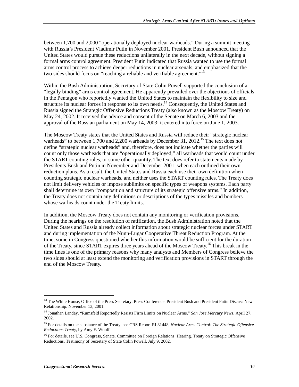between 1,700 and 2,000 "operationally deployed nuclear warheads." During a summit meeting with Russia's President Vladimir Putin in November 2001, President Bush announced that the United States would pursue these reductions unilaterally in the next decade, without signing a formal arms control agreement. President Putin indicated that Russia wanted to use the formal arms control process to achieve deeper reductions in nuclear arsenals, and emphasized that the two sides should focus on "reaching a reliable and verifiable agreement."<sup>13</sup>

Within the Bush Administration, Secretary of State Colin Powell supported the conclusion of a "legally binding" arms control agreement. He apparently prevailed over the objections of officials in the Pentagon who reportedly wanted the United States to maintain the flexibility to size and structure its nuclear forces in response to its own needs.<sup>14</sup> Consequently, the United States and Russia signed the Strategic Offensive Reductions Treaty (also known as the Moscow Treaty) on May 24, 2002. It received the advice and consent of the Senate on March 6, 2003 and the approval of the Russian parliament on May 14, 2003; it entered into force on June 1, 2003.

The Moscow Treaty states that the United States and Russia will reduce their "strategic nuclear warheads" to between 1,700 and 2,200 warheads by December 31, 2012.<sup>15</sup> The text does not define "strategic nuclear warheads" and, therefore, does not indicate whether the parties will count only those warheads that are "operationally deployed," all warheads that would count under the START counting rules, or some other quantity. The text does refer to statements made by Presidents Bush and Putin in November and December 2001, when each outlined their own reduction plans. As a result, the United States and Russia each use their own definition when counting strategic nuclear warheads, and neither uses the START counting rules. The Treaty does not limit delivery vehicles or impose sublimits on specific types of weapons systems. Each party shall determine its own "composition and structure of its strategic offensive arms." In addition, the Treaty does not contain any definitions or descriptions of the types missiles and bombers whose warheads count under the Treaty limits.

In addition, the Moscow Treaty does not contain any monitoring or verification provisions. During the hearings on the resolution of ratification, the Bush Administration noted that the United States and Russia already collect information about strategic nuclear forces under START and during implementation of the Nunn-Lugar Cooperative Threat Reduction Program. At the time, some in Congress questioned whether this information would be sufficient for the duration of the Treaty, since START expires three years ahead of the Moscow Treaty.16 This break in the time lines is one of the primary reasons why many analysts and Members of Congress believe the two sides should at least extend the monitoring and verification provisions in START through the end of the Moscow Treaty.

<sup>&</sup>lt;sup>13</sup> The White House, Office of the Press Secretary. Press Conference. President Bush and President Putin Discuss New Relationship. November 13, 2001.

<sup>14</sup> Jonathan Landay. "Rumsfeld Reportedly Resists Firm Limits on Nuclear Arms," *San Jose Mercury News*. April 27, 2002.

<sup>15</sup> For details on the substance of the Treaty, see CRS Report RL31448, *Nuclear Arms Control: The Strategic Offensive Reductions Treaty*, by Amy F. Woolf.

<sup>&</sup>lt;sup>16</sup> For details, see U.S. Congress, Senate. Committee on Foreign Relations. Hearing. Treaty on Strategic Offensive Reductions. Testimony of Secretary of State Colin Powell. July 9, 2002.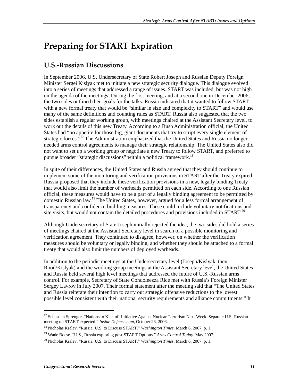## **Preparing for START Expiration**

## **U.S.-Russian Discussions**

In September 2006, U.S. Undersecretary of State Robert Joseph and Russian Deputy Foreign Minister Sergei Kislyak met to initiate a new strategic security dialogue. This dialogue evolved into a series of meetings that addressed a range of issues. START was included, but was not high on the agenda of the meetings. During the first meeting, and at a second one in December 2006, the two sides outlined their goals for the talks. Russia indicated that it wanted to follow START with a new formal treaty that would be "similar in size and complexity to START" and would use many of the same definitions and counting rules as START. Russia also suggested that the two sides establish a regular working group, with meetings chaired at the Assistant Secretary level, to work out the details of this new Treaty. According to a Bush Administration official, the United States had "no appetite for those big, giant documents that try to script every single element of strategic forces."<sup>17</sup> The Administration emphasized that the United States and Russia no longer needed arms control agreements to manage their strategic relationship. The United States also did not want to set up a working group or negotiate a new Treaty to follow START, and preferred to pursue broader "strategic discussions" within a political framework.<sup>18</sup>

In spite of their differences, the United States and Russia agreed that they should continue to implement some of the monitoring and verification provisions in START after the Treaty expired. Russia proposed that they include these verification provisions in a new, legally binding Treaty that would also limit the number of warheads permitted on each side. According to one Russian official, these measures would have to be a part of a legally binding agreement to be permitted by domestic Russian law.<sup>19</sup> The United States, however, argued for a less formal arrangement of transparency and confidence-building measures. These could include voluntary notifications and site visits, but would not contain the detailed procedures and provisions included in  $START<sup>20</sup>$ 

Although Undersecretary of State Joseph initially rejected the idea, the two sides did hold a series of meetings chaired at the Assistant Secretary level in search of a possible monitoring and verification agreement. They continued to disagree, however, on whether the verification measures should be voluntary or legally binding, and whether they should be attached to a formal treaty that would also limit the numbers of deployed warheads.

In addition to the periodic meetings at the Undersecretary level (Joseph/Kislyak, then Rood/Kislyak) and the working group meetings at the Assistant Secretary level, the United States and Russia held several high level meetings that addressed the future of U.S.-Russian arms control. For example, Secretary of State Condoleezza Rice met with Russia's Foreign Minister Sergey Lavrov in July 2007. Their formal statement after the meeting said that "The United States and Russia reiterate their intention to carry out strategic offensive reductions to the lowest possible level consistent with their national security requirements and alliance commitments." It

<sup>&</sup>lt;sup>17</sup> Sebastian Sprenger. "Nations to Kick off Initiative Against Nuclear Terrorism Next Week. Separate U.S.-Russian meeting on START expected." *Inside Defense.com*, October 26, 2006.

<sup>18</sup> Nicholas Kralev. "Russia, U.S. to Discuss START." *Washington Times*. March 6, 2007. p. 1.

<sup>19</sup> Wade Boese. "U.S., Russia exploring post-START Options." *Arms Control Today*. May 2007.

<sup>20</sup> Nicholas Kralev. "Russia, U.S. to Discuss START." *Washington Times*. March 6, 2007. p. 1.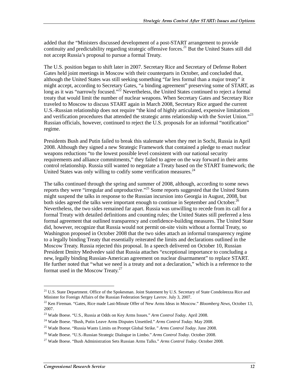added that the "Ministers discussed development of a post-START arrangement to provide continuity and predictability regarding strategic offensive forces.<sup>21</sup> But the United States still did not accept Russia's proposal to pursue a formal Treaty.

The U.S. position began to shift later in 2007. Secretary Rice and Secretary of Defense Robert Gates held joint meetings in Moscow with their counterparts in October, and concluded that, although the United States was still seeking something "far less formal than a major treaty" it might accept, according to Secretary Gates, "a binding agreement" preserving some of START, as long as it was "narrowly focused."<sup>22</sup> Nevertheless, the United States continued to reject a formal treaty that would limit the number of nuclear weapons. When Secretary Gates and Secretary Rice traveled to Moscow to discuss START again in March 2008, Secretary Rice argued the current U.S.-Russian relationship does not require "the kind of highly articulated, expensive limitations and verification procedures that attended the strategic arms relationship with the Soviet Union."<sup>23</sup> Russian officials, however, continued to reject the U.S. proposals for an informal "notification" regime.

Presidents Bush and Putin failed to break this stalemate when they met in Sochi, Russia in April 2008. Although they signed a new Strategic Framework that contained a pledge to enact nuclear weapons reductions "to the lowest possible level consistent with our national security requirements and alliance commitments," they failed to agree on the way forward in their arms control relationship. Russia still wanted to negotiate a Treaty based on the START framework; the United States was only willing to codify some verification measures.<sup>24</sup>

The talks continued through the spring and summer of 2008, although, according to some news reports they were "irregular and unproductive."<sup>25</sup> Some reports suggested that the United States might suspend the talks in response to the Russian incursion into Georgia in August, 2008, but both sides agreed the talks were important enough to continue in September and October.<sup>26</sup> Nevertheless, the two sides remained far apart. Russia was unwilling to recede from its call for a formal Treaty with detailed definitions and counting rules; the United States still preferred a less formal agreement that outlined transparency and confidence-building measures. The United State did, however, recognize that Russia would not permit on-site visits without a formal Treaty, so Washington proposed in October 2008 that the two sides attach an informal transparency regime to a legally binding Treaty that essentially reiterated the limits and declarations outlined in the Moscow Treaty. Russia rejected this proposal. In a speech delivered on October 10, Russian President Dmitry Medvedev said that Russia attaches "exceptional importance to concluding a new, legally binding Russian-American agreement on nuclear disarmament" to replace START. He further noted that "what we need is a treaty and not a declaration," which is a reference to the format used in the Moscow Treaty.<sup>27</sup>

<sup>&</sup>lt;sup>21</sup> U.S. State Department. Office of the Spokesman. Joint Statement by U.S. Secretary of State Condoleezza Rice and Minister for Foreign Affairs of the Russian Federation Sergey Lavrov. July 3, 2007.

<sup>22</sup> Ken Fireman. "Gates, Rice made Last-Minute Offer of New Arms Ideas in Moscow." *Bloomberg News*, October 13, 2007.

<sup>23</sup> Wade Boese. "U.S., Russia at Odds on Key Arms Issues." *Arm Control Today*. April 2008.

<sup>24</sup> Wade Boese. "Bush, Putin Leave Arms Disputes Unsettled." *Arms Control Today*. May 2008.

<sup>25</sup> Wade Boese. "Russia Wants Limits on Prompt Global Strike.*" Arms Control Today*. June 2008.

<sup>26</sup> Wade Boese. "U.S.-Russian Strategic Dialogue in Limbo." *Arms Control Today*. October 2008.

<sup>27</sup> Wade Boese. "Bush Administration Sets Russian Arms Talks." *Arms Control Today*. October 2008.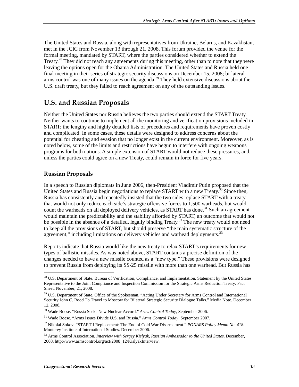The United States and Russia, along with representatives from Ukraine, Belarus, and Kazakhstan, met in the JCIC from November 13 through 21, 2008. This forum provided the venue for the formal meeting, mandated by START, where the parties considered whether to extend the Treaty.<sup>28</sup> They did not reach any agreements during this meeting, other than to note that they were leaving the options open for the Obama Administration. The United States and Russia held one final meeting in their series of strategic security discussions on December 15, 2008; bi-lateral arms control was one of many issues on the agenda.<sup>29</sup> They held extensive discussions about the U.S. draft treaty, but they failed to reach agreement on any of the outstanding issues.

### U.S. and Russian Proposals

Neither the United States nor Russia believes the two parties should extend the START Treaty. Neither wants to continue to implement all the monitoring and verification provisions included in START; the lengthy and highly detailed lists of procedures and requirements have proven costly and complicated. In some cases, these details were designed to address concerns about the potential for cheating and evasion that no longer exist in the current environment. Moreover, as is noted below, some of the limits and restrictions have begun to interfere with ongoing weapons programs for both nations. A simple extension of START would not reduce these pressures, and, unless the parties could agree on a new Treaty, could remain in force for five years.

#### **Russian Proposals**

j

In a speech to Russian diplomats in June 2006, then-President Vladimir Putin proposed that the United States and Russia begin negotiations to replace START with a new Treaty.<sup>30</sup> Since then, Russia has consistently and repeatedly insisted that the two sides replace START with a treaty that would not only reduce each side's strategic offensive forces to 1,500 warheads, but would count the warheads on all deployed delivery vehicles, as START has done.<sup>31</sup> Such an agreement would maintain the predictability and the stability afforded by START, an outcome that would not be possible in the absence of a detailed, legally binding Treaty.<sup>32</sup> The new treaty would not need to keep all the provisions of START, but should preserve "the main systematic structure of the agreement," including limitations on delivery vehicles and warhead deployments.<sup>33</sup>

Reports indicate that Russia would like the new treaty to relax START's requirements for new types of ballistic missiles. As was noted above, START contains a precise definition of the changes needed to have a new missile counted as a "new type." These provisions were designed to prevent Russia from deploying its SS-25 missile with more than one warhead. But Russia has

<sup>&</sup>lt;sup>28</sup> U.S. Department of State. Bureau of Verification, Compliance, and Implementation. Statement by the United States Representative to the Joint Compliance and Inspection Commission for the Strategic Arms Reduction Treaty. Fact Sheet. November, 21, 2008.

 $29$  U.S. Department of State. Office of the Spokesman. "Acting Under Secretary for Arms Control and International Security John C. Rood To Travel to Moscow for Bilateral Strategic Security Dialogue Talks." Media Note. December 12, 2008.

<sup>30</sup> Wade Boese. "Russia Seeks New Nuclear Accord." *Arms Control Today*, September 2006.

<sup>31</sup> Wade Boese. "Arms Issues Divide U.S. and Russia." *Arms Control Today*. September 2007.

<sup>32</sup> Nikolai Sokov, "START I Replacement: The End of Cold War Disarmament." *PONARS Policy Memo No. 418.* Monterey Institute of International Studies. December 2006.

<sup>33</sup> Arms Control Association, *Interview with Sergey Kislyak, Russian Ambassador to the United States*. December, 2008. http://www.armscontrol.org/act/2008\_12/KislyakInterview.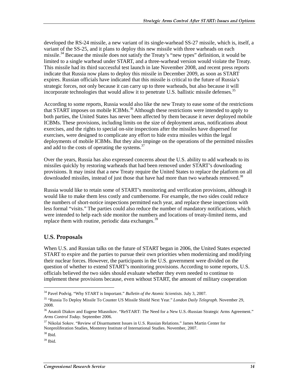developed the RS-24 missile, a new variant of its single-warhead SS-27 missile, which is, itself, a variant of the SS-25, and it plans to deploy this new missile with three warheads on each missile.<sup>34</sup> Because the missile does not satisfy the Treaty's "new types" definition, it would be limited to a single warhead under START, and a three-warhead version would violate the Treaty. This missile had its third successful test launch in late November 2008, and recent press reports indicate that Russia now plans to deploy this missile in December 2009, as soon as START expires. Russian officials have indicated that this missile is critical to the future of Russia's strategic forces, not only because it can carry up to three warheads, but also because it will incorporate technologies that would allow it to penetrate U.S. ballistic missile defenses.<sup>35</sup>

According to some reports, Russia would also like the new Treaty to ease some of the restrictions that START imposes on mobile ICBMs.<sup>36</sup> Although these restrictions were intended to apply to both parties, the United States has never been affected by them because it never deployed mobile ICBMs. These provisions, including limits on the size of deployment areas, notifications about exercises, and the rights to special on-site inspections after the missiles have dispersed for exercises, were designed to complicate any effort to hide extra missiles within the legal deployments of mobile ICBMs. But they also impinge on the operations of the permitted missiles and add to the costs of operating the systems.<sup>37</sup>

Over the years, Russia has also expressed concerns about the U.S. ability to add warheads to its missiles quickly by restoring warheads that had been removed under START's downloading provisions. It may insist that a new Treaty require the United States to replace the platform on all downloaded missiles, instead of just those that have had more than two warheads removed.<sup>38</sup>

Russia would like to retain some of START's monitoring and verification provisions, although it would like to make them less costly and cumbersome. For example, the two sides could reduce the numbers of short-notice inspections permitted each year, and replace these inspections with less formal "visits." The parties could also reduce the number of mandatory notifications, which were intended to help each side monitor the numbers and locations of treaty-limited items, and replace them with routine, periodic data exchanges.<sup>39</sup>

#### U.S. Proposals

When U.S. and Russian talks on the future of START began in 2006, the United States expected START to expire and the parties to pursue their own priorities when modernizing and modifying their nuclear forces. However, the participants in the U.S. government were divided on the question of whether to extend START's monitoring provisions. According to some reports, U.S. officials believed the two sides should evaluate whether they even needed to continue to implement these provisions because, even without START, the amount of military cooperation

<sup>34</sup> Pavel Podvig. "Why START is Important." *Bulletin of the Atomic Scientists*. July 3, 2007.

<sup>35 &</sup>quot;Russia To Deploy Missile To Counter US Missile Shield Next Year." *London Daily Telegraph.* November 29, 2008.

<sup>&</sup>lt;sup>36</sup> Anatoli Diakov and Eugene Miasnikov. "ReSTART: The Need for a New U.S.-Russian Strategic Arms Agreement." *Arms Control Today*. September 2006.

<sup>37</sup> Nikolai Sokov. "Review of Disarmament Issues in U.S. Russian Relations." James Martin Center for Nonproliferation Studies, Monterey Institute of International Studies. November, 2007.

 $38$  Ibid.

 $39$  Ibid.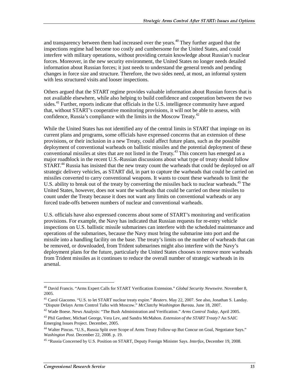and transparency between them had increased over the years.<sup> $40$ </sup> They further argued that the inspections regime had become too costly and cumbersome for the United States, and could interfere with military operations, without providing certain knowledge about Russian's nuclear forces. Moreover, in the new security environment, the United States no longer needs detailed information about Russian forces; it just needs to understand the general trends and pending changes in force size and structure. Therefore, the two sides need, at most, an informal system with less structured visits and looser inspections.

Others argued that the START regime provides valuable information about Russian forces that is not available elsewhere, while also helping to build confidence and cooperation between the two sides.<sup>41</sup> Further, reports indicate that officials in the U.S. intelligence community have argued that, without START's cooperative monitoring provisions, it will not be able to assess, with confidence, Russia's compliance with the limits in the Moscow Treaty.<sup>42</sup>

While the United States has not identified any of the central limits in START that impinge on its current plans and programs, some officials have expressed concerns that an extension of these provisions, or their inclusion in a new Treaty, could affect future plans, such as the possible deployment of conventional warheads on ballistic missiles and the potential deployment of these conventional missiles at sites that are not listed in the Treaty.<sup>43</sup> This concern has emerged as a major roadblock in the recent U.S.-Russian discussions about what type of treaty should follow START.44 Russia has insisted that the new treaty count the warheads that could be deployed on *all* strategic delivery vehicles, as START did, in part to capture the warheads that could be carried on missiles converted to carry conventional weapons. It wants to count these warheads to limit the U.S. ability to break out of the treaty by converting the missiles back to nuclear warheads.<sup>45</sup> The United States, however, does not want the warheads that could be carried on these missiles to count under the Treaty because it does not want any limits on conventional warheads or any forced trade-offs between numbers of nuclear and conventional warheads.

U.S. officials have also expressed concerns about some of START's monitoring and verification provisions. For example, the Navy has indicated that Russian requests for re-entry vehicle inspections on U.S. ballistic missile submarines can interfere with the scheduled maintenance and operations of the submarines, because the Navy must bring the submarine into port and the missile into a handling facility on the base. The treaty's limits on the number of warheads that can be removed, or downloaded, from Trident submarines might also interfere with the Navy's deployment plans for the future, particularly the United States chooses to remove more warheads from Trident missiles as it continues to reduce the overall number of strategic warheads in its arsenal.

<sup>40</sup> David Francis. "Arms Expert Calls for START Verification Extension." *Global Security Newswire*. November 8, 2005.

<sup>41</sup> Carol Giacomo. "U.S. to let START nuclear treaty expire." *Reuters*. May 22, 2007. See also, Jonathan S. Landay. "Dispute Delays Arms Control Talks with Moscow." *McClatchy Washington Bureau.* June 18, 2007.

<sup>42</sup> Wade Boese. News Analysis: "The Bush Administration and Verification." *Arms Control Today*, April 2005.

<sup>43</sup> Phil Gardner, Michael George, Vera Lev, and Sandra McMahon. *Extension of the START Treaty?* An SAIC Emerging Issues Project. December, 2005.

<sup>44</sup> Walter Pincus. "U.S., Russia Split over Scope of Arms Treaty Follow-up But Concur on Goal, Negotiator Says." *Washington Post*. December 22, 2008. p. 19.

<sup>45 &</sup>quot;Russia Concerned by U.S. Position on START, Deputy Foreign Minister Says. *Interfax*, December 19, 2008.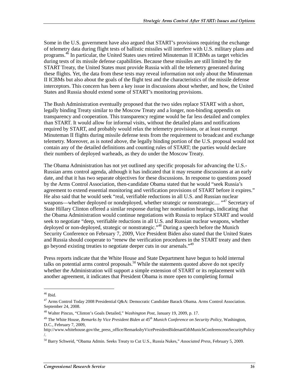Some in the U.S. government have also argued that START's provisions requiring the exchange of telemetry data during flight tests of ballistic missiles will interfere with U.S. military plans and programs.<sup>46</sup> In particular, the United States uses retired Minuteman II ICBMs as target vehicles during tests of its missile defense capabilities. Because these missiles are still limited by the START Treaty, the United States must provide Russia with all the telemetry generated during these flights. Yet, the data from these tests may reveal information not only about the Minuteman II ICBMs but also about the goals of the flight test and the characteristics of the missile defense interceptors. This concern has been a key issue in discussions about whether, and how, the United States and Russia should extend some of START's monitoring provisions.

The Bush Administration eventually proposed that the two sides replace START with a short, legally binding Treaty similar to the Moscow Treaty and a longer, non-binding appendix on transparency and cooperation. This transparency regime would be far less detailed and complex than START. It would allow for informal visits, without the detailed plans and notifications required by START, and probably would relax the telemetry provisions, or at least exempt Minuteman II flights during missile defense tests from the requirement to broadcast and exchange telemetry. Moreover, as is noted above, the legally binding portion of the U.S. proposal would not contain any of the detailed definitions and counting rules of START; the parties would declare their numbers of deployed warheads, as they do under the Moscow Treaty.

The Obama Administration has not yet outlined any specific proposals for advancing the U.S.- Russian arms control agenda, although it has indicated that it may resume discussions at an early date, and that it has two separate objectives for these discussions. In response to questions posed by the Arms Control Association, then-candidate Obama stated that he would "seek Russia's agreement to extend essential monitoring and verification provisions of START before it expires." He also said that he would seek "real, verifiable reductions in all U.S. and Russian nuclear weapons—whether deployed or nondeployed, whether strategic or nonstrategic.... "<sup>47</sup> Secretary of State Hillary Clinton offered a similar response during her nomination hearings, indicating that the Obama Administration would continue negotiations with Russia to replace START and would seek to negotiate "deep, verifiable reductions in all U.S. and Russian nuclear weapons, whether deployed or non-deployed, strategic or nonstrategic."48 During a speech before the Munich Security Conference on February 7, 2009, Vice President Biden also stated that the United States and Russia should cooperate to "renew the verification procedures in the START treaty and then go beyond existing treaties to negotiate deeper cuts in our arsenals."49

Press reports indicate that the White House and State Department have begun to hold internal talks on potential arms control proposals.<sup>50</sup> While the statements quoted above do not specify whether the Administration will support a simple extension of START or its replacement with another agreement, it indicates that President Obama is more open to completing formal

 $46$  Ibid.

<sup>47</sup> Arms Control Today 2008 Presidential Q&A: Democratic Candidate Barack Obama. Arms Control Association. September 24, 2008.

<sup>48</sup> Walter Pincus, "Clinton's Goals Detailed," *Washington Post*, January 19, 2009, p. 17.

<sup>49</sup> The White House, *Remarks by Vice President Biden at 45th Munich Conference on Security Policy*, Washington, D.C., February 7, 2009,

http://www.whitehouse.gov/the\_press\_office/RemarksbyVicePresidentBidenat45thMunichConferenceonSecurityPolicy /.

<sup>50</sup> Barry Schweid, "Obama Admin. Seeks Treaty to Cut U.S., Russia Nukes," *Associated Press*, February 5, 2009.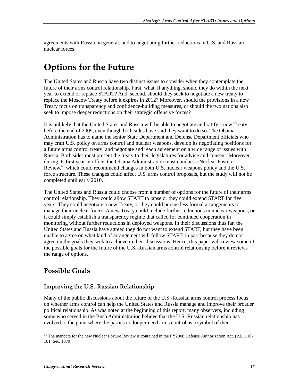agreements with Russia, in general, and to negotiating further reductions in U.S. and Russian nuclear forces.

## **Options for the Future**

The United States and Russia have two distinct issues to consider when they contemplate the future of their arms control relationship. First, what, if anything, should they do within the next year to extend or replace START? And, second, should they seek to negotiate a new treaty to replace the Moscow Treaty before it expires in 2012? Moreover, should the provisions in a new Treaty focus on transparency and confidence-building measures, or should the two nations also seek to impose deeper reductions on their strategic offensive forces?

It is unlikely that the United States and Russia will be able to negotiate and ratify a new Treaty before the end of 2009, even though both sides have said they want to do so. The Obama Administration has to name the senior State Department and Defense Department officials who may craft U.S. policy on arms control and nuclear weapons, develop its negotiating positions for a future arms control treaty; and negotiate and reach agreement on a wide range of issues with Russia. Both sides must present the treaty to their legislatures for advice and consent. Moreover, during its first year in office, the Obama Administration must conduct a Nuclear Posture Review,<sup>51</sup> which could recommend changes in both U.S. nuclear weapons policy and the U.S. force structure. These changes could affect U.S. arms control proposals, but the study will not be completed until early 2010.

The United States and Russia could choose from a number of options for the future of their arms control relationship. They could allow START to lapse or they could extend START for five years. They could negotiate a new Treaty, or they could pursue less formal arrangements to manage their nuclear forces. A new Treaty could include further reductions in nuclear weapons, or it could simply establish a transparency regime that called for continued cooperation in monitoring without further reductions in deployed weapons. In their discussions thus far, the United States and Russia have agreed they do not want to extend START, but they have been unable to agree on what kind of arrangement will follow START, in part because they do not agree on the goals they seek to achieve in their discussions. Hence, this paper will review some of the possible goals for the future of the U.S.-Russian arms control relationship before it reviews the range of options.

## **Possible Goals**

j

### Improving the U.S.-Russian Relationship

Many of the public discussions about the future of the U.S.-Russian arms control process focus on whether arms control can help the United States and Russia manage and improve their broader political relationship. As was noted at the beginning of this report, many observers, including some who served in the Bush Administration believe that the U.S.-Russian relationship has evolved to the point where the parties no longer need arms control as a symbol of their

<sup>&</sup>lt;sup>51</sup> The mandate for the new Nuclear Posture Review is contained in the FY2008 Defense Authorization Act. (P.L. 110-181, Sec. 1070).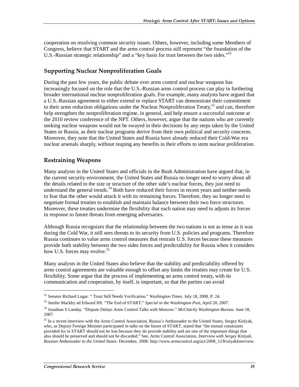cooperation on resolving common security issues. Others, however, including some Members of Congress, believe that START and the arms control process still represent "the foundation of the U.S.-Russian strategic relationship" and a "key basis for trust between the two sides."<sup>52</sup>

### **Supporting Nuclear Nonproliferation Goals**

During the past few years, the public debate over arms control and nuclear weapons has increasingly focused on the role that the U.S.-Russian arms control process can play in furthering broader international nuclear nonproliferation goals. For example, many analysts have argued that a U.S.-Russian agreement to either extend or replace START can demonstrate their commitment to their arms reduction obligations under the Nuclear Nonproliferation Treaty,<sup>53</sup> and can, therefore help strengthen the nonproliferation regime, in general, and help ensure a successful outcome at the 2010 review conference of the NPT. Others, however, argue that the nations who are currently seeking nuclear weapons would not be swayed in their decisions by any steps taken by the United States or Russia, as their nuclear programs derive from their own political and security concerns. Moreover, they note that the United States and Russia have already reduced their Cold-War era nuclear arsenals sharply, without reaping any benefits in their efforts to stem nuclear proliferation.

### **Restraining Weapons**

Many analysts in the United States and officials in the Bush Administration have argued that, in the current security environment, the United States and Russia no longer need to worry about all the details related to the size or structure of the other side's nuclear forces, they just need to understand the general trends.<sup>54</sup> Both have reduced their forces in recent years and neither needs to fear that the other would attack it with its remaining forces. Therefore, they no longer need to negotiate formal treaties to establish and maintain balance between their two force structures. Moreover, these treaties undermine the flexibility that each nation may need to adjusts its forces in response to future threats from emerging adversaries.

Although Russia recognizes that the relationship between the two nations is not as tense as it was during the Cold War, it still sees threats to its security from U.S. policies and programs. Therefore Russia continues to value arms control measures that restrain U.S. forces because these measures provide both stability between the two sides forces and predictability for Russia when it considers how U.S. forces may evolve.<sup>55</sup>

Many analysts in the United States also believe that the stability and predictability offered by arms control agreements are valuable enough to offset any limits the treaties may create for U.S. flexibility. Some argue that the process of implementing an arms control treaty, with its communication and cooperation, by itself, is important, so that the parties can avoid

<sup>52</sup> Senator Richard Lugar. " Trust Still Needs Verification." *Washington Times*. July 18, 2008. P. 24.

<sup>53</sup> Jenifer Mackby ad Edward Ifft. "The End of START." *Special to the Washington Post*, April 20, 2007.

<sup>54</sup> Jonathan S Landay. "Dispute Delays Arms Control Talks with Moscow." *McClatchy Washington Bureau*. June 18, 2007.

<sup>&</sup>lt;sup>55</sup> In a recent interview with the Arms Control Association, Russia's Ambassador to the United States, Sergey Kislyak, who, as Deputy Foreign Minister participated in talks on the future of START, stated that "the mutual constraints provided for in START should not be lost because they do provide stability and are one of the important things that also should be preserved and should not be discarded." See, Arms Control Association, *Interview with Sergey Kislyak, Russian Ambassador to the United States*. December, 2008. http://www.armscontrol.org/act/2008\_12/KislyakInterview.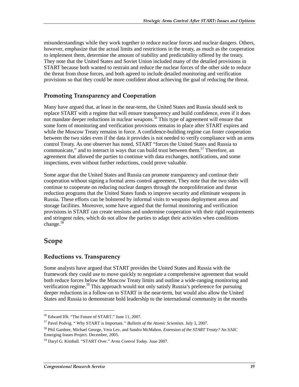misunderstandings while they work together to reduce nuclear forces and nuclear dangers. Others, however, emphasize that the actual limits and restrictions in the treaty, as much as the cooperation to implement them, determine the amount of stability and predictability offered by the treaty. They note that the United States and Soviet Union included many of the detailed provisions in START because both wanted to restrain and reduce the nuclear forces of the other side to reduce the threat from those forces, and both agreed to include detailed monitoring and verification provisions so that they could be more confident about achieving the goal of reducing the threat.

### Promoting Transparency and Cooperation

Many have argued that, at least in the near-term, the United States and Russia should seek to replace START with a regime that will ensure transparency and build confidence, even if it does not mandate deeper reductions in nuclear weapons.<sup>56</sup> This type of agreement will ensure that some form of monitoring and verification provisions remains in place after START expires and while the Moscow Treaty remains in force. A confidence-building regime can foster cooperation between the two sides even if the data it provides is not needed to verify compliance with an arms control Treaty. As one observer has noted, START "forces the United States and Russia to communicate," and to interact in ways that can build trust between them.<sup>57</sup> Therefore, an agreement that allowed the parties to continue with data exchanges, notifications, and some inspections, even without further reductions, could prove valuable.

Some argue that the United States and Russia can promote transparency and continue their cooperation without signing a formal arms control agreement. They note that the two sides will continue to cooperate on reducing nuclear dangers through the nonproliferation and threat reduction programs that the United States funds to improve security and eliminate weapons in Russia. These efforts can be bolstered by informal visits to weapons deployment areas and storage facilities. Moreover, some have argued that the formal monitoring and verification provisions in START can create tensions and undermine cooperation with their rigid requirements and stringent rules, which do not allow the parties to adapt their activities when conditions change.<sup>58</sup>

### **Scope**

j

#### Reductions vs. Transparency

Some analysts have argued that START provides the United States and Russia with the framework they could use to move quickly to negotiate a comprehensive agreement that would both reduce forces below the Moscow Treaty limits and outline a wide-ranging monitoring and verification regime.<sup>59</sup> This approach would not only satisfy Russia's preference for pursuing deeper reductions in a follow-on to START in the near-term, but would also allow the United States and Russia to demonstrate bold leadership to the international community in the months

<sup>56</sup> Edward Ifft. "The Future of START." June 11, 2007.

<sup>57</sup> Pavel Podvig. " Why START is Important.*" Bulletin of the Atomic Scientists*. July 3, 2007.

<sup>58</sup> Phil Gardner, Michael George, Vera Lev, and Sandra McMahon. *Extension of the START Treaty?* An SAIC Emerging Issues Project. December, 2005.

<sup>59</sup> Daryl G. Kimball. "START Over." *Arms Control Today*. June 2007.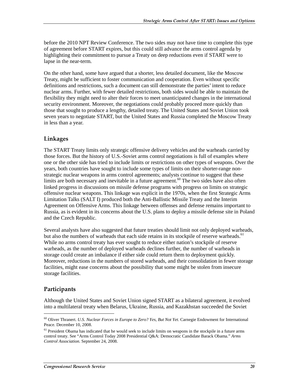before the 2010 NPT Review Conference. The two sides may not have time to complete this type of agreement before START expires, but this could still advance the arms control agenda by highlighting their commitment to pursue a Treaty on deep reductions even if START were to lapse in the near-term.

On the other hand, some have argued that a shorter, less detailed document, like the Moscow Treaty, might be sufficient to foster communication and cooperation. Even without specific definitions and restrictions, such a document can still demonstrate the parties' intent to reduce nuclear arms. Further, with fewer detailed restrictions, both sides would be able to maintain the flexibility they might need to alter their forces to meet unanticipated changes in the international security environment. Moreover, the negotiations could probably proceed more quickly than those that sought to produce a lengthy, detailed treaty. The United States and Soviet Union took seven years to negotiate START, but the United States and Russia completed the Moscow Treaty in less than a year.

### Linkages

The START Treaty limits only strategic offensive delivery vehicles and the warheads carried by those forces. But the history of U.S.-Soviet arms control negotiations is full of examples where one or the other side has tried to include limits or restrictions on other types of weapons. Over the years, both countries have sought to include some types of limits on their shorter-range nonstrategic nuclear weapons in arms control agreements; analysts continue to suggest that these limits are both necessary and inevitable in a future agreement.<sup>60</sup> The two sides have also often linked progress in discussions on missile defense programs with progress on limits on strategic offensive nuclear weapons. This linkage was explicit in the 1970s, when the first Strategic Arms Limitation Talks (SALT I) produced both the Anti-Ballistic Missile Treaty and the Interim Agreement on Offensive Arms. This linkage between offenses and defense remains important to Russia, as is evident in its concerns about the U.S. plans to deploy a missile defense site in Poland and the Czech Republic.

Several analysts have also suggested that future treaties should limit not only deployed warheads, but also the numbers of warheads that each side retains in its stockpile of reserve warheads.<sup>61</sup> While no arms control treaty has ever sought to reduce either nation's stockpile of reserve warheads, as the number of deployed warheads declines further, the number of warheads in storage could create an imbalance if either side could return them to deployment quickly. Moreover, reductions in the numbers of stored warheads, and their consolidation in fewer storage facilities, might ease concerns about the possibility that some might be stolen from insecure storage facilities.

### Participants

j

Although the United States and Soviet Union signed START as a bilateral agreement, it evolved into a multilateral treaty when Belarus, Ukraine, Russia, and Kazakhstan succeeded the Soviet

<sup>60</sup> Oliver Thranert. *U.S. Nuclear Forces in Europe to Zero? Yes, But Not Yet*. Carnegie Endowment for International Peace. December 10, 2008.

<sup>&</sup>lt;sup>61</sup> President Obama has indicated that he would seek to include limits on weapons in the stockpile in a future arms control treaty. See "Arms Control Today 2008 Presidential Q&A: Democratic Candidate Barack Obama." *Arms Control Association*. September 24, 2008.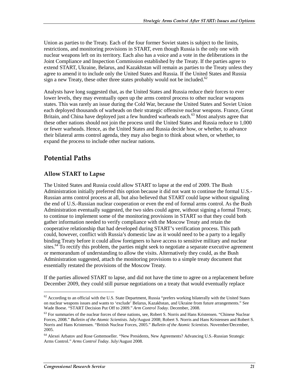Union as parties to the Treaty. Each of the four former Soviet states is subject to the limits, restrictions, and monitoring provisions in START, even though Russia is the only one with nuclear weapons left on its territory. Each also has a voice and a vote in the deliberations in the Joint Compliance and Inspection Commission established by the Treaty. If the parties agree to extend START, Ukraine, Belarus, and Kazakhstan will remain as parties to the Treaty unless they agree to amend it to include only the United States and Russia. If the United States and Russia sign a new Treaty, these other three states probably would not be included.<sup>62</sup>

Analysts have long suggested that, as the United States and Russia reduce their forces to ever lower levels, they may eventually open up the arms control process to other nuclear weapons states. This was rarely an issue during the Cold War, because the United States and Soviet Union each deployed thousands of warheads on their strategic offensive nuclear weapons. France, Great Britain, and China have deployed just a few hundred warheads each.<sup>63</sup> Most analysts agree that these other nations should not join the process until the United States and Russia reduce to 1,000 or fewer warheads. Hence, as the United States and Russia decide how, or whether, to advance their bilateral arms control agenda, they may also begin to think about when, or whether, to expand the process to include other nuclear nations.

## Potential Paths

### Allow START to Lapse

The United States and Russia could allow START to lapse at the end of 2009. The Bush Administration initially preferred this option because it did not want to continue the formal U.S.- Russian arms control process at all, but also believed that START could lapse without signaling the end of U.S.-Russian nuclear cooperation or even the end of formal arms control. As the Bush Administration eventually suggested, the two sides could agree, without signing a formal Treaty, to continue to implement some of the monitoring provisions in START so that they could both gather information needed to verify compliance with the Moscow Treaty and retain the cooperative relationship that had developed during START's verification process. This path could, however, conflict with Russia's domestic law as it would need to be a party to a legally binding Treaty before it could allow foreigners to have access to sensitive military and nuclear sites.<sup>64</sup> To rectify this problem, the parties might seek to negotiate a separate executive agreement or memorandum of understanding to allow the visits. Alternatively they could, as the Bush Administration suggested, attach the monitoring provisions to a simple treaty document that essentially restated the provisions of the Moscow Treaty.

If the parties allowed START to lapse, and did not have the time to agree on a replacement before December 2009, they could still pursue negotiations on a treaty that would eventually replace

 $62$  According to an official with the U.S. State Department, Russia "prefers working bilaterally with the United States on nuclear weapons issues and wants to 'exclude' Belarus, Kazakhstan, and Ukraine from future arrangements." See Wade Boese. "START Decision Put Off to 2009." *Arm Control Today*. December, 2008.

<sup>&</sup>lt;sup>63</sup> For summaries of the nuclear forces of these nations, see, Robert S. Norris and Hans Kristensen. "Chinese Nuclear Forces, 2008." *Bulletin of the Atomic Scientists*. July/August 2008; Robert S. Norris and Hans Kristensen and Robert S. Norris and Hans Kristensen. "British Nuclear Forces, 2005." *Bulletin of the Atomic Scientists*. November/December, 2005.

<sup>64</sup> Alexei Arbatov and Rose Gottemoeller. "New Presidents, New Agreements? Advancing U.S.-Russian Strategic Arms Control." *Arms Control Today*. July/August 2008.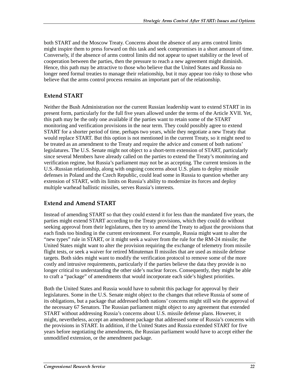both START and the Moscow Treaty. Concerns about the absence of any arms control limits might inspire them to press forward on this task and seek compromises in a short amount of time. Conversely, if the absence of arms control limits did not appear to upset stability or the level of cooperation between the parties, then the pressure to reach a new agreement might diminish. Hence, this path may be attractive to those who believe that the United States and Russia no longer need formal treaties to manage their relationship, but it may appear too risky to those who believe that the arms control process remains an important part of the relationship.

### **Extend START**

Neither the Bush Administration nor the current Russian leadership want to extend START in its present form, particularly for the full five years allowed under the terms of the Article XVII. Yet, this path may be the only one available if the parties want to retain some of the START monitoring and verification provisions in the near term. They could possibly agree to extend START for a shorter period of time, perhaps two years, while they negotiate a new Treaty that would replace START. But this option is not mentioned in the current Treaty, so it might need to be treated as an amendment to the Treaty and require the advice and consent of both nations' legislatures. The U.S. Senate might not object to a short-term extension of START, particularly since several Members have already called on the parties to extend the Treaty's monitoring and verification regime, but Russia's parliament may not be as accepting. The current tensions in the U.S.-Russian relationship, along with ongoing concerns about U.S. plans to deploy missile defenses in Poland and the Czech Republic, could lead some in Russia to question whether any extension of START, with its limits on Russia's ability to modernize its forces and deploy multiple warhead ballistic missiles, serves Russia's interests.

### **Extend and Amend START**

Instead of amending START so that they could extend it for less than the mandated five years, the parties might extend START according to the Treaty provisions, which they could do without seeking approval from their legislatures, then try to amend the Treaty to adjust the provisions that each finds too binding in the current environment. For example, Russia might want to alter the "new types" rule in START, or it might seek a waiver from the rule for the RM-24 missile; the United States might want to alter the provision requiring the exchange of telemetry from missile flight tests, or seek a waiver for retired Minuteman II missiles that are used as missile defense targets. Both sides might want to modify the verification protocol to remove some of the more costly and intrusive requirements, particularly if the parties believe the data they provide is no longer critical to understanding the other side's nuclear forces. Consequently, they might be able to craft a "package" of amendments that would incorporate each side's highest priorities.

Both the United States and Russia would have to submit this package for approval by their legislatures. Some in the U.S. Senate might object to the changes that relieve Russia of some of its obligations, but a package that addressed both nations' concerns might still win the approval of the necessary 67 Senators. The Russian parliament might object to any agreement that extended START without addressing Russia's concerns about U.S. missile defense plans. However, it might, nevertheless, accept an amendment package that addressed some of Russia's concerns with the provisions in START. In addition, if the United States and Russia extended START for five years before negotiating the amendments, the Russian parliament would have to accept either the unmodified extension, or the amendment package.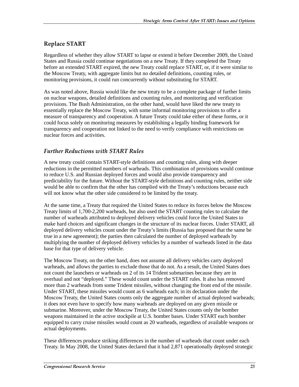### **Replace START**

Regardless of whether they allow START to lapse or extend it before December 2009, the United States and Russia could continue negotiations on a new Treaty. If they completed the Treaty before an extended START expired, the new Treaty could replace START, or, if it were similar to the Moscow Treaty, with aggregate limits but no detailed definitions, counting rules, or monitoring provisions, it could run concurrently without substituting for START.

As was noted above, Russia would like the new treaty to be a complete package of further limits on nuclear weapons, detailed definitions and counting rules, and monitoring and verification provisions. The Bush Administration, on the other hand, would have liked the new treaty to essentially replace the Moscow Treaty, with some informal monitoring provisions to offer a measure of transparency and cooperation. A future Treaty could take either of these forms, or it could focus solely on monitoring measures by establishing a legally binding framework for transparency and cooperation not linked to the need to verify compliance with restrictions on nuclear forces and activities.

### Further Reductions with START Rules

A new treaty could contain START-style definitions and counting rules, along with deeper reductions in the permitted numbers of warheads. This combination of provisions would continue to reduce U.S. and Russian deployed forces and would also provide transparency and predictability for the future. Without the START-style definitions and counting rules, neither side would be able to confirm that the other has complied with the Treaty's reductions because each will not know what the other side considered to be limited by the treaty.

At the same time, a Treaty that required the United States to reduce its forces below the Moscow Treaty limits of 1,700-2,200 warheads, but also used the START counting rules to calculate the number of warheads attributed to deployed delivery vehicles could force the United States to make hard choices and significant changes in the structure of its nuclear forces. Under START, all deployed delivery vehicles count under the Treaty's limits (Russia has proposed that the same be true in a new agreement); the parties then calculated the number of deployed warheads by multiplying the number of deployed delivery vehicles by a number of warheads listed in the data base for that type of delivery vehicle.

The Moscow Treaty, on the other hand, does not assume all delivery vehicles carry deployed warheads, and allows the parties to exclude those that do not. As a result, the United States does not count the launchers or warheads on 2 of its 14 Trident submarines because they are in overhaul and not "deployed." These would count under the START rules. It also has removed more than 2 warheads from some Trident missiles, without changing the front end of the missile. Under START, these missiles would count as 6 warheads each; in its declaration under the Moscow Treaty, the United States counts only the aggregate number of actual deployed warheads; it does not even have to specify how many warheads are deployed on any given missile or submarine. Moreover, under the Moscow Treaty, the United States counts only the bomber weapons maintained in the active stockpile at U.S. bomber bases. Under START each bomber equipped to carry cruise missiles would count as 20 warheads, regardless of available weapons or actual deployments.

These differences produce striking differences in the number of warheads that count under each Treaty. In May 2008, the United States declared that it had 2,871 operationally deployed strategic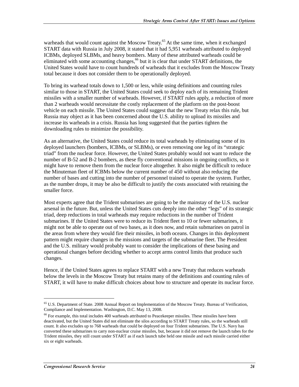warheads that would count against the Moscow Treaty.<sup>65</sup> At the same time, when it exchanged START data with Russia in July 2008, it stated that it had 5,951 warheads attributed to deployed ICBMs, deployed SLBMs, and heavy bombers. Many of these attributed warheads could be eliminated with some accounting changes,  $66$  but it is clear that under START definitions, the United States would have to count hundreds of warheads that it excludes from the Moscow Treaty total because it does not consider them to be operationally deployed.

To bring its warhead totals down to 1,500 or less, while using definitions and counting rules similar to those in START, the United States could seek to deploy each of its remaining Trident missiles with a smaller number of warheads. However, if START rules apply, a reduction of more than 2 warheads would necessitate the costly replacement of the platform on the post-boost vehicle on each missile. The United States could suggest that the new Treaty relax this rule, but Russia may object as it has been concerned about the U.S. ability to upload its missiles and increase its warheads in a crisis. Russia has long suggested that the parties tighten the downloading rules to minimize the possibility.

As an alternative, the United States could reduce its total warheads by eliminating some of its deployed launchers (bombers, ICBMs, or SLBMs), or even removing one leg of its "strategic triad" from the nuclear force. However, the United States probably would not want to reduce the number of B-52 and B-2 bombers, as these fly conventional missions in ongoing conflicts, so it might have to remove them from the nuclear force altogether. It also might be difficult to reduce the Minuteman fleet of ICBMs below the current number of 450 without also reducing the number of bases and cutting into the number of personnel trained to operate the system. Further, as the number drops, it may be also be difficult to justify the costs associated with retaining the smaller force.

Most experts agree that the Trident submarines are going to be the mainstay of the U.S. nuclear arsenal in the future. But, unless the United States cuts deeply into the other "legs" of its strategic triad, deep reductions in total warheads may require reductions in the number of Trident submarines. If the United States were to reduce its Trident fleet to 10 or fewer submarines, it might not be able to operate out of two bases, as it does now, and retain submarines on patrol in the areas from where they would fire their missiles, in both oceans. Changes in this deployment pattern might require changes in the missions and targets of the submarine fleet. The President and the U.S. military would probably want to consider the implications of these basing and operational changes before deciding whether to accept arms control limits that produce such changes.

Hence, if the United States agrees to replace START with a new Treaty that reduces warheads below the levels in the Moscow Treaty but retains many of the definitions and counting rules of START, it will have to make difficult choices about how to structure and operate its nuclear force.

<sup>65</sup> U.S. Department of State. 2008 Annual Report on Implementation of the Moscow Treaty. Bureau of Verification, Compliance and Implementation. Washington, D.C. May 13, 2008.

<sup>&</sup>lt;sup>66</sup> For example, this total includes 400 warheads attributed to Peacekeeper missiles. These missiles have been deactivated, but the United States did not eliminate the silos according to START Treaty rules, so the warheads still count. It also excludes up to 768 warheads that could be deployed on four Trident submarines. The U.S. Navy has converted these submarines to carry non-nuclear cruise missiles, but, because it did not remove the launch tubes for the Trident missiles, they still count under START as if each launch tube held one missile and each missile carried either six or eight warheads.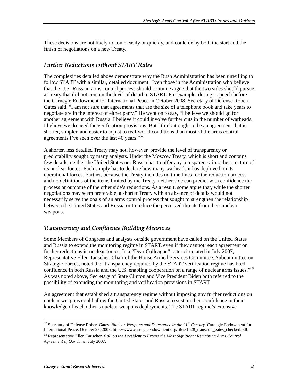These decisions are not likely to come easily or quickly, and could delay both the start and the finish of negotiations on a new Treaty.

### Further Reductions without START Rules

The complexities detailed above demonstrate why the Bush Administration has been unwilling to follow START with a similar, detailed document. Even those in the Administration who believe that the U.S.-Russian arms control process should continue argue that the two sides should pursue a Treaty that did not contain the level of detail in START. For example, during a speech before the Carnegie Endowment for International Peace in October 2008, Secretary of Defense Robert Gates said, "I am not sure that agreements that are the size of a telephone book and take years to negotiate are in the interest of either party." He went on to say, "I believe we should go for another agreement with Russia. I believe it could involve further cuts in the number of warheads. I believe we do need the verification provisions. But I think it ought to be an agreement that is shorter, simpler, and easier to adjust to real-world conditions than most of the arms control agreements I've seen over the last 40 years."<sup>67</sup>

A shorter, less detailed Treaty may not, however, provide the level of transparency or predictability sought by many analysts. Under the Moscow Treaty, which is short and contains few details, neither the United States nor Russia has to offer any transparency into the structure of its nuclear forces. Each simply has to declare how many warheads it has deployed on its operational forces. Further, because the Treaty includes no time lines for the reduction process and no definitions of the items limited by the Treaty, neither side can predict with confidence the process or outcome of the other side's reductions. As a result, some argue that, while the shorter negotiations may seem preferable, a shorter Treaty with an absence of details would not necessarily serve the goals of an arms control process that sought to strengthen the relationship between the United States and Russia or to reduce the perceived threats from their nuclear weapons.

### Transparency and Confidence Building Measures

Some Members of Congress and analysts outside government have called on the United States and Russia to extend the monitoring regime in START, even if they cannot reach agreement on further reductions in nuclear forces. In a "Dear Colleague" letter circulated in July 2007, Representative Ellen Tauscher, Chair of the House Armed Services Committee, Subcommittee on Strategic Forces, noted the "transparency required by the START verification regime has bred confidence in both Russia and the U.S. enabling cooperation on a range of nuclear arms issues."<sup>68</sup> As was noted above, Secretary of State Clinton and Vice President Biden both referred to the possibility of extending the monitoring and verification provisions in START.

An agreement that established a transparency regime without imposing any further reductions on nuclear weapons could allow the United States and Russia to sustain their confidence in their knowledge of each other's nuclear weapons deployments. The START regime's extensive

<sup>67</sup> Secretary of Defense Robert Gates. *Nuclear Weapons and Deterrence in the 21st Century*. Carnegie Endowment for International Peace. October 28, 2008. http://www.carnegieendowment.org/files/1028\_transcrip\_gates\_checked.pdf.

<sup>68</sup> Representative Ellen Tauscher. *Call on the President to Extend the Most Significant Remaining Arms Control Agreement of Our Time*. July 2007.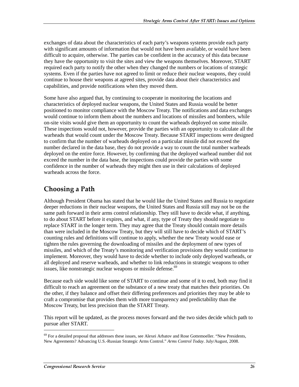exchanges of data about the characteristics of each party's weapons systems provide each party with significant amounts of information that would not have been available, or would have been difficult to acquire, otherwise. The parties can be confident in the accuracy of this data because they have the opportunity to visit the sites and view the weapons themselves. Moreover, START required each party to notify the other when they changed the numbers or locations of strategic systems. Even if the parties have not agreed to limit or reduce their nuclear weapons, they could continue to house their weapons at agreed sites, provide data about their characteristics and capabilities, and provide notifications when they moved them.

Some have also argued that, by continuing to cooperate in monitoring the locations and characteristics of deployed nuclear weapons, the United States and Russia would be better positioned to monitor compliance with the Moscow Treaty. The notifications and data exchanges would continue to inform them about the numbers and locations of missiles and bombers, while on-site visits would give them an opportunity to count the warheads deployed on some missile. These inspections would not, however, provide the parties with an opportunity to calculate all the warheads that would count under the Moscow Treaty. Because START inspections were designed to confirm that the number of warheads deployed on a particular missile did not exceed the number declared in the data base, they do not provide a way to count the total number warheads deployed on the entire force. However, by confirming that the deployed warhead number did not exceed the number in the data base, the inspections could provide the parties with some confidence in the number of warheads they might then use in their calculations of deployed warheads across the force.

## Choosing a Path

Although President Obama has stated that he would like the United States and Russia to negotiate deeper reductions in their nuclear weapons, the United States and Russia still may not be on the same path forward in their arms control relationship. They still have to decide what, if anything, to do about START before it expires, and what, if any, type of Treaty they should negotiate to replace START in the longer term. They may agree that the Treaty should contain more details than were included in the Moscow Treaty, but they will still have to decide which of START's counting rules and definitions will continue to apply, whether the new Treaty would ease or tighten the rules governing the downloading of missiles and the deployment of new types of missiles, and which of the Treaty's monitoring and verification provisions they would continue to implement. Moreover, they would have to decide whether to include only deployed warheads, or all deployed and reserve warheads, and whether to link reductions in strategic weapons to other issues, like nonstrategic nuclear weapons or missile defense.<sup>69</sup>

Because each side would like some of START to continue and some of it to end, both may find it difficult to reach an agreement on the substance of a new treaty that matches their priorities. On the other, if they balance and offset their differing preferences and priorities they may be able to craft a compromise that provides them with more transparency and predictability than the Moscow Treaty, but less precision than the START Treaty.

This report will be updated, as the process moves forward and the two sides decide which path to pursue after START.

 $69$  For a detailed proposal that addresses these issues, see Alexei Arbatov and Rose Gottemoeller. "New Presidents, New Agreements? Advancing U.S.-Russian Strategic Arms Control." *Arms Control Today*. July/August, 2008.